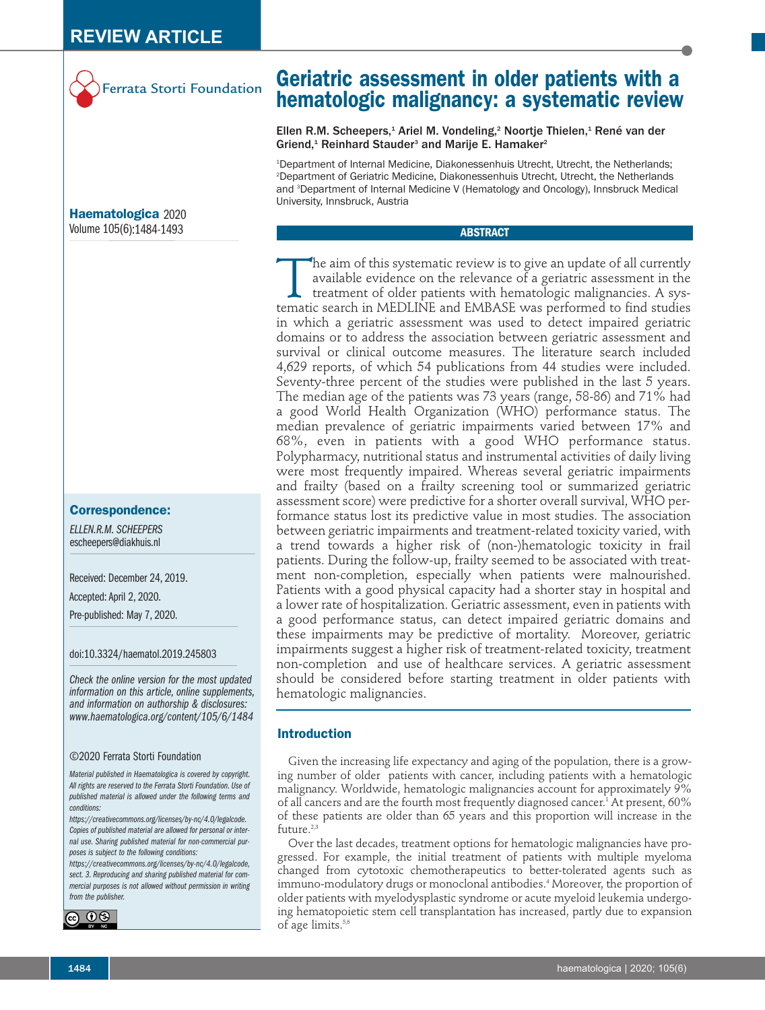

# **Haematologica** 2020 Volume 105(6):1484-1493

## **Correspondence:**

*ELLEN.R.M. SCHEEPERS* escheepers@diakhuis.nl

Received: December 24, 2019.

Accepted: April 2, 2020.

Pre-published: May 7, 2020.

doi:10.3324/haematol.2019.245803

*Check the online version for the most updated information on this article, online supplements, and information on authorship & disclosures: www.haematologica.org/content/105/6/1484*

#### ©2020 Ferrata Storti Foundation

*Material published in Haematologica is covered by copyright. All rights are reserved to the Ferrata Storti Foundation. Use of published material is allowed under the following terms and conditions:* 

*https://creativecommons.org/licenses/by-nc/4.0/legalcode. Copies of published material are allowed for personal or internal use. Sharing published material for non-commercial purposes is subject to the following conditions:* 

*https://creativecommons.org/licenses/by-nc/4.0/legalcode, sect. 3. Reproducing and sharing published material for commercial purposes is not allowed without permission in writing from the publisher.*



**Geriatric assessment in older patients with a hematologic malignancy: a systematic review**

Ellen R.M. Scheepers,<sup>1</sup> Ariel M. Vondeling,<sup>2</sup> Noortje Thielen,<sup>1</sup> René van der Griend,<sup>1</sup> Reinhard Stauder<sup>3</sup> and Marije E. Hamaker<sup>2</sup>

1 Department of Internal Medicine, Diakonessenhuis Utrecht, Utrecht, the Netherlands; 2 Department of Geriatric Medicine, Diakonessenhuis Utrecht, Utrecht, the Netherlands and 3 Department of Internal Medicine V (Hematology and Oncology), Innsbruck Medical University, Innsbruck, Austria

### **ABSTRACT**

The aim of this systematic review is to give an update of all currently available evidence on the relevance of a geriatric assessment in the treatment of older patients with hematologic malignancies. A systematic search in MEDLINE and EMBASE was performed to find studies in which a geriatric assessment was used to detect impaired geriatric domains or to address the association between geriatric assessment and survival or clinical outcome measures. The literature search included 4,629 reports, of which 54 publications from 44 studies were included. Seventy-three percent of the studies were published in the last 5 years. The median age of the patients was 73 years (range, 58-86) and 71% had a good World Health Organization (WHO) performance status. The median prevalence of geriatric impairments varied between 17% and 68%, even in patients with a good WHO performance status. Polypharmacy, nutritional status and instrumental activities of daily living were most frequently impaired. Whereas several geriatric impairments and frailty (based on a frailty screening tool or summarized geriatric assessment score) were predictive for a shorter overall survival, WHO performance status lost its predictive value in most studies. The association between geriatric impairments and treatment-related toxicity varied, with a trend towards a higher risk of (non-)hematologic toxicity in frail patients. During the follow-up, frailty seemed to be associated with treatment non-completion, especially when patients were malnourished. Patients with a good physical capacity had a shorter stay in hospital and a lower rate of hospitalization. Geriatric assessment, even in patients with a good performance status, can detect impaired geriatric domains and these impairments may be predictive of mortality. Moreover, geriatric impairments suggest a higher risk of treatment-related toxicity, treatment non-completion and use of healthcare services. A geriatric assessment should be considered before starting treatment in older patients with hematologic malignancies.

# **Introduction**

Given the increasing life expectancy and aging of the population, there is a growing number of older patients with cancer, including patients with a hematologic malignancy. Worldwide, hematologic malignancies account for approximately 9% of all cancers and are the fourth most frequently diagnosed cancer.<sup>1</sup> At present, 60% of these patients are older than 65 years and this proportion will increase in the future.<sup>2,3</sup>

Over the last decades, treatment options for hematologic malignancies have progressed. For example, the initial treatment of patients with multiple myeloma changed from cytotoxic chemotherapeutics to better-tolerated agents such as immuno-modulatory drugs or monoclonal antibodies.<sup>4</sup> Moreover, the proportion of older patients with myelodysplastic syndrome or acute myeloid leukemia undergoing hematopoietic stem cell transplantation has increased, partly due to expansion of age limits.<sup>5,6</sup>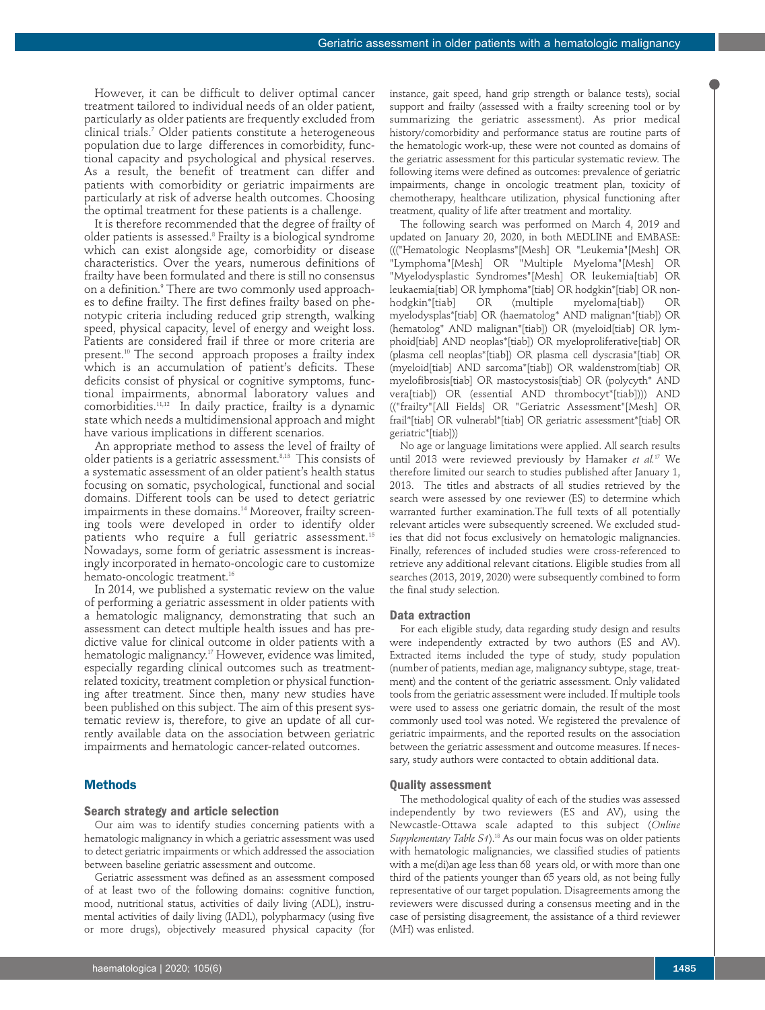However, it can be difficult to deliver optimal cancer treatment tailored to individual needs of an older patient, particularly as older patients are frequently excluded from clinical trials.7 Older patients constitute a heterogeneous population due to large differences in comorbidity, functional capacity and psychological and physical reserves. As a result, the benefit of treatment can differ and patients with comorbidity or geriatric impairments are particularly at risk of adverse health outcomes. Choosing the optimal treatment for these patients is a challenge.

It is therefore recommended that the degree of frailty of older patients is assessed.<sup>8</sup> Frailty is a biological syndrome which can exist alongside age, comorbidity or disease characteristics. Over the years, numerous definitions of frailty have been formulated and there is still no consensus on a definition.<sup>9</sup> There are two commonly used approaches to define frailty. The first defines frailty based on phenotypic criteria including reduced grip strength, walking speed, physical capacity, level of energy and weight loss. Patients are considered frail if three or more criteria are present.<sup>10</sup> The second approach proposes a frailty index which is an accumulation of patient's deficits. These deficits consist of physical or cognitive symptoms, functional impairments, abnormal laboratory values and comorbidities.11,12 In daily practice, frailty is a dynamic state which needs a multidimensional approach and might have various implications in different scenarios.

An appropriate method to assess the level of frailty of older patients is a geriatric assessment.<sup>8,13</sup> This consists of a systematic assessment of an older patient's health status focusing on somatic, psychological, functional and social domains. Different tools can be used to detect geriatric impairments in these domains.<sup>14</sup> Moreover, frailty screening tools were developed in order to identify older patients who require a full geriatric assessment.15 Nowadays, some form of geriatric assessment is increasingly incorporated in hemato-oncologic care to customize hemato-oncologic treatment.<sup>16</sup>

In 2014, we published a systematic review on the value of performing a geriatric assessment in older patients with a hematologic malignancy, demonstrating that such an assessment can detect multiple health issues and has predictive value for clinical outcome in older patients with a hematologic malignancy.<sup>17</sup> However, evidence was limited, especially regarding clinical outcomes such as treatmentrelated toxicity, treatment completion or physical functioning after treatment. Since then, many new studies have been published on this subject. The aim of this present systematic review is, therefore, to give an update of all currently available data on the association between geriatric impairments and hematologic cancer-related outcomes.

## **Methods**

#### **Search strategy and article selection**

Our aim was to identify studies concerning patients with a hematologic malignancy in which a geriatric assessment was used to detect geriatric impairments or which addressed the association between baseline geriatric assessment and outcome.

Geriatric assessment was defined as an assessment composed of at least two of the following domains: cognitive function, mood, nutritional status, activities of daily living (ADL), instrumental activities of daily living (IADL), polypharmacy (using five or more drugs), objectively measured physical capacity (for instance, gait speed, hand grip strength or balance tests), social support and frailty (assessed with a frailty screening tool or by summarizing the geriatric assessment). As prior medical history/comorbidity and performance status are routine parts of the hematologic work-up, these were not counted as domains of the geriatric assessment for this particular systematic review. The following items were defined as outcomes: prevalence of geriatric impairments, change in oncologic treatment plan, toxicity of chemotherapy, healthcare utilization, physical functioning after treatment, quality of life after treatment and mortality.

The following search was performed on March 4, 2019 and updated on January 20, 2020, in both MEDLINE and EMBASE: ((("Hematologic Neoplasms"[Mesh] OR "Leukemia"[Mesh] OR "Lymphoma"[Mesh] OR "Multiple Myeloma"[Mesh] OR "Myelodysplastic Syndromes"[Mesh] OR leukemia[tiab] OR leukaemia[tiab] OR lymphoma\*[tiab] OR hodgkin\*[tiab] OR nonhodgkin\*[tiab] OR (multiple myeloma[tiab]) OR myelodysplas\*[tiab] OR (haematolog\* AND malignan\*[tiab]) OR (hematolog\* AND malignan\*[tiab]) OR (myeloid[tiab] OR lymphoid[tiab] AND neoplas\*[tiab]) OR myeloproliferative[tiab] OR (plasma cell neoplas\*[tiab]) OR plasma cell dyscrasia\*[tiab] OR (myeloid[tiab] AND sarcoma\*[tiab]) OR waldenstrom[tiab] OR myelofibrosis[tiab] OR mastocystosis[tiab] OR (polycyth\* AND vera[tiab]) OR (essential AND thrombocyt\*[tiab]))) AND (("frailty"[All Fields] OR "Geriatric Assessment"[Mesh] OR frail\*[tiab] OR vulnerabl\*[tiab] OR geriatric assessment\*[tiab] OR geriatric\*[tiab]))

No age or language limitations were applied. All search results until 2013 were reviewed previously by Hamaker *et al.*<sup>17</sup> We therefore limited our search to studies published after January 1, 2013. The titles and abstracts of all studies retrieved by the search were assessed by one reviewer (ES) to determine which warranted further examination.The full texts of all potentially relevant articles were subsequently screened. We excluded studies that did not focus exclusively on hematologic malignancies. Finally, references of included studies were cross-referenced to retrieve any additional relevant citations. Eligible studies from all searches (2013, 2019, 2020) were subsequently combined to form the final study selection.

#### **Data extraction**

For each eligible study, data regarding study design and results were independently extracted by two authors (ES and AV). Extracted items included the type of study, study population (number of patients, median age, malignancy subtype, stage, treatment) and the content of the geriatric assessment. Only validated tools from the geriatric assessment were included. If multiple tools were used to assess one geriatric domain, the result of the most commonly used tool was noted. We registered the prevalence of geriatric impairments, and the reported results on the association between the geriatric assessment and outcome measures. If necessary, study authors were contacted to obtain additional data.

#### **Quality assessment**

The methodological quality of each of the studies was assessed independently by two reviewers (ES and AV), using the Newcastle-Ottawa scale adapted to this subject (*Online Supplementary Table S1*).18 As our main focus was on older patients with hematologic malignancies, we classified studies of patients with a me(di)an age less than 68 years old, or with more than one third of the patients younger than 65 years old, as not being fully representative of our target population. Disagreements among the reviewers were discussed during a consensus meeting and in the case of persisting disagreement, the assistance of a third reviewer (MH) was enlisted.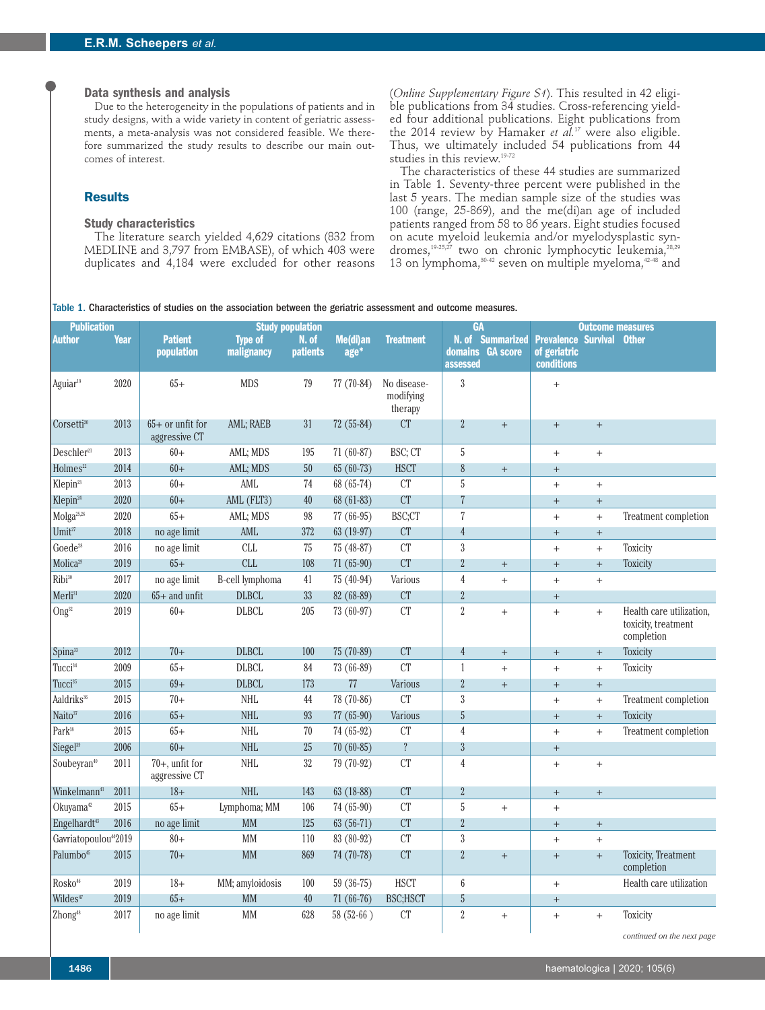### **Data synthesis and analysis**

Due to the heterogeneity in the populations of patients and in study designs, with a wide variety in content of geriatric assessments, a meta-analysis was not considered feasible. We therefore summarized the study results to describe our main outcomes of interest.

## **Results**

## **Study characteristics**

The literature search yielded 4,629 citations (832 from MEDLINE and 3,797 from EMBASE), of which 403 were duplicates and 4,184 were excluded for other reasons

(*Online Supplementary Figure S1*). This resulted in 42 eligible publications from 34 studies. Cross-referencing yielded four additional publications. Eight publications from the 2014 review by Hamaker *et al.*<sup>17</sup> were also eligible. Thus, we ultimately included 54 publications from 44 studies in this review.19-72

The characteristics of these 44 studies are summarized in Table 1. Seventy-three percent were published in the last 5 years. The median sample size of the studies was 100 (range, 25-869), and the me(di)an age of included patients ranged from 58 to 86 years. Eight studies focused on acute myeloid leukemia and/or myelodysplastic syndromes,19-25,27 two on chronic lymphocytic leukemia,28,29 13 on lymphoma, $30-42$  seven on multiple myeloma, $42-48$  and

| Table 1. Characteristics of studies on the association between the geriatric assessment and outcome measures. |  |
|---------------------------------------------------------------------------------------------------------------|--|
|---------------------------------------------------------------------------------------------------------------|--|

| <b>Publication</b>                |             |                                     |                              | <b>Study population</b>  |                  |                                     | GA                         |                                            |                                                                 | <b>Outcome measures</b> |                                                               |
|-----------------------------------|-------------|-------------------------------------|------------------------------|--------------------------|------------------|-------------------------------------|----------------------------|--------------------------------------------|-----------------------------------------------------------------|-------------------------|---------------------------------------------------------------|
| <b>Author</b>                     | <b>Year</b> | <b>Patient</b><br>population        | <b>Type of</b><br>malignancy | N. of<br><b>patients</b> | Me(di)an<br>age* | <b>Treatment</b>                    | <b>domains</b><br>assessed | <b>N. of Summarized</b><br><b>GA</b> score | <b>Prevalence Survival</b><br>of geriatric<br><b>conditions</b> |                         | <b>Other</b>                                                  |
| Aguiar <sup>19</sup>              | 2020        | $65+$                               | <b>MDS</b>                   | $79\,$                   | 77 (70-84)       | No disease-<br>modifying<br>therapy | $\sqrt{3}$                 |                                            | $^{+}$                                                          |                         |                                                               |
| Corsetti <sup>20</sup>            | 2013        | $65+$ or unfit for<br>aggressive CT | AML; RAEB                    | 31                       | $72(55-84)$      | <b>CT</b>                           | $\overline{2}$             | $^{+}$                                     | $\qquad \qquad +$                                               | $+$                     |                                                               |
| Deschler <sup>21</sup>            | 2013        | $60+$                               | AML; MDS                     | 195                      | 71 (60-87)       | BSC; CT                             | $\sqrt{5}$                 |                                            | $^{+}$                                                          |                         |                                                               |
| Holmes <sup>22</sup>              | 2014        | $60+$                               | AML; MDS                     | 50                       | $65(60-73)$      | <b>HSCT</b>                         | 8                          | $+$                                        | $^{+}$                                                          |                         |                                                               |
| Klepin <sup>23</sup>              | 2013        | $60+$                               | AML                          | 74                       | 68 (65-74)       | <b>CT</b>                           | $\sqrt{5}$                 |                                            | $^{+}$                                                          | $\ddot{}$               |                                                               |
| Klepin <sup>24</sup>              | 2020        | $60+$                               | AML (FLT3)                   | 40                       | 68 (61-83)       | <b>CT</b>                           | $\overline{7}$             |                                            | $+$                                                             | $\ddot{}$               |                                                               |
| Molga <sup>25,26</sup>            | 2020        | $65+$                               | AML; MDS                     | 98                       | 77 (66-95)       | BSC;CT                              | $\sqrt{7}$                 |                                            | $^{+}$                                                          | $^{+}$                  | Treatment completion                                          |
| Umit <sup>27</sup>                | 2018        | no age limit                        | AML                          | 372                      | 63 (19-97)       | <b>CT</b>                           | $\overline{4}$             |                                            | $\ddot{}$                                                       | $\ddot{}$               |                                                               |
| Goede <sup>28</sup>               | 2016        | no age limit                        | <b>CLL</b>                   | $75\,$                   | 75 (48-87)       | <b>CT</b>                           | $\sqrt{3}$                 |                                            | $^{+}$                                                          | $\ddot{}$               | Toxicity                                                      |
| Molica <sup>29</sup>              | 2019        | $65+$                               | <b>CLL</b>                   | 108                      | $71(65-90)$      | <b>CT</b>                           | $\sqrt{2}$                 | $+$                                        | $^{+}$                                                          | $\ddot{}$               | <b>Toxicity</b>                                               |
| Ribi <sup>30</sup>                | 2017        | no age limit                        | B-cell lymphoma              | 41                       | 75 (40-94)       | Various                             | $\overline{4}$             | $\ddot{}$                                  | $^{+}$                                                          | $\ddot{}$               |                                                               |
| Merli <sup>31</sup>               | 2020        | $65+$ and unfit                     | <b>DLBCL</b>                 | 33                       | 82 (68-89)       | <b>CT</b>                           | $\overline{2}$             |                                            | $^{+}$                                                          |                         |                                                               |
| Ong <sup>32</sup>                 | 2019        | $60+$                               | <b>DLBCL</b>                 | 205                      | 73 (60-97)       | CT                                  | $\boldsymbol{2}$           | $^{+}$                                     | $^{+}$                                                          | $^{+}$                  | Health care utilization,<br>toxicity, treatment<br>completion |
| Spina <sup>33</sup>               | 2012        | $70+$                               | <b>DLBCL</b>                 | 100                      | 75 (70-89)       | <b>CT</b>                           | 4                          | $+$                                        | $+$                                                             | $+$                     | Toxicity                                                      |
| Tucci <sup>34</sup>               | 2009        | $65+$                               | <b>DLBCL</b>                 | 84                       | 73 (66-89)       | <b>CT</b>                           | 1                          | $^{+}$                                     | $^{+}$                                                          | $^{+}$                  | Toxicity                                                      |
| Tucci <sup>35</sup>               | 2015        | $69+$                               | <b>DLBCL</b>                 | 173                      | $77\,$           | Various                             | $\overline{2}$             | $+$                                        | $+$                                                             | $\boldsymbol{+}$        |                                                               |
| Aaldriks <sup>36</sup>            | 2015        | $70+$                               | <b>NHL</b>                   | 44                       | 78 (70-86)       | <b>CT</b>                           | $\sqrt{3}$                 |                                            | $^{+}$                                                          | $^{+}$                  | Treatment completion                                          |
| Naito <sup>37</sup>               | 2016        | $65+$                               | <b>NHL</b>                   | 93                       | 77 (65-90)       | Various                             | $\sqrt{5}$                 |                                            | $+$                                                             | $+$                     | <b>Toxicity</b>                                               |
| Park <sup>38</sup>                | 2015        | $65+$                               | <b>NHL</b>                   | $70\,$                   | 74 (65-92)       | <b>CT</b>                           | $\sqrt{4}$                 |                                            | $^{+}$                                                          | $+$                     | Treatment completion                                          |
| Siegel <sup>39</sup>              | 2006        | $60+$                               | <b>NHL</b>                   | 25                       | $70(60-85)$      | $\overline{\cdot}$                  | $\sqrt{3}$                 |                                            | $+$                                                             |                         |                                                               |
| Soubeyran <sup>40</sup>           | 2011        | $70+$ , unfit for<br>aggressive CT  | <b>NHL</b>                   | $32\,$                   | 79 (70-92)       | <b>CT</b>                           | $\sqrt{4}$                 |                                            | $^{+}$                                                          | $\ddot{}$               |                                                               |
| Winkelmann <sup>4</sup>           | 2011        | $18+$                               | <b>NHL</b>                   | 143                      | 63 (18-88)       | CT                                  | $\overline{2}$             |                                            | $^{+}$                                                          | $+$                     |                                                               |
| Okuyama <sup>42</sup>             | 2015        | $65+$                               | Lymphoma; MM                 | 106                      | 74 (65-90)       | <b>CT</b>                           | $\sqrt{5}$                 | $\ddot{}$                                  | $^{+}$                                                          |                         |                                                               |
| Engelhardt <sup>43</sup>          | 2016        | no age limit                        | <b>MM</b>                    | 125                      | $63(56-71)$      | <b>CT</b>                           | $\overline{2}$             |                                            | $^{+}$                                                          | $+$                     |                                                               |
| Gavriatopoulou <sup>44</sup> 2019 |             | $80+$                               | <b>MM</b>                    | 110                      | 83 (80-92)       | <b>CT</b>                           | $\boldsymbol{3}$           |                                            | $^{+}$                                                          | $\ddot{}$               |                                                               |
| Palumbo <sup>45</sup>             | 2015        | $70+$                               | <b>MM</b>                    | 869                      | 74 (70-78)       | <b>CT</b>                           | $\sqrt{2}$                 | $+$                                        | $^{+}$                                                          | $+$                     | <b>Toxicity, Treatment</b><br>completion                      |
| Rosko <sup>46</sup>               | 2019        | $18+$                               | MM; amyloidosis              | 100                      | 59 (36-75)       | <b>HSCT</b>                         | $\boldsymbol{6}$           |                                            | $^{+}$                                                          |                         | Health care utilization                                       |
| Wildes <sup>47</sup>              | 2019        | $65+$                               | <b>MM</b>                    | 40                       | $71(66-76)$      | <b>BSC;HSCT</b>                     | $\sqrt{5}$                 |                                            | $+$                                                             |                         |                                                               |
| Zhong <sup>48</sup>               | 2017        | no age limit                        | MM                           | 628                      | $58(52-66)$      | CT                                  | $\overline{2}$             | $^{+}$                                     | $^{+}$                                                          | $+$                     | Toxicity                                                      |

*continued on the next page*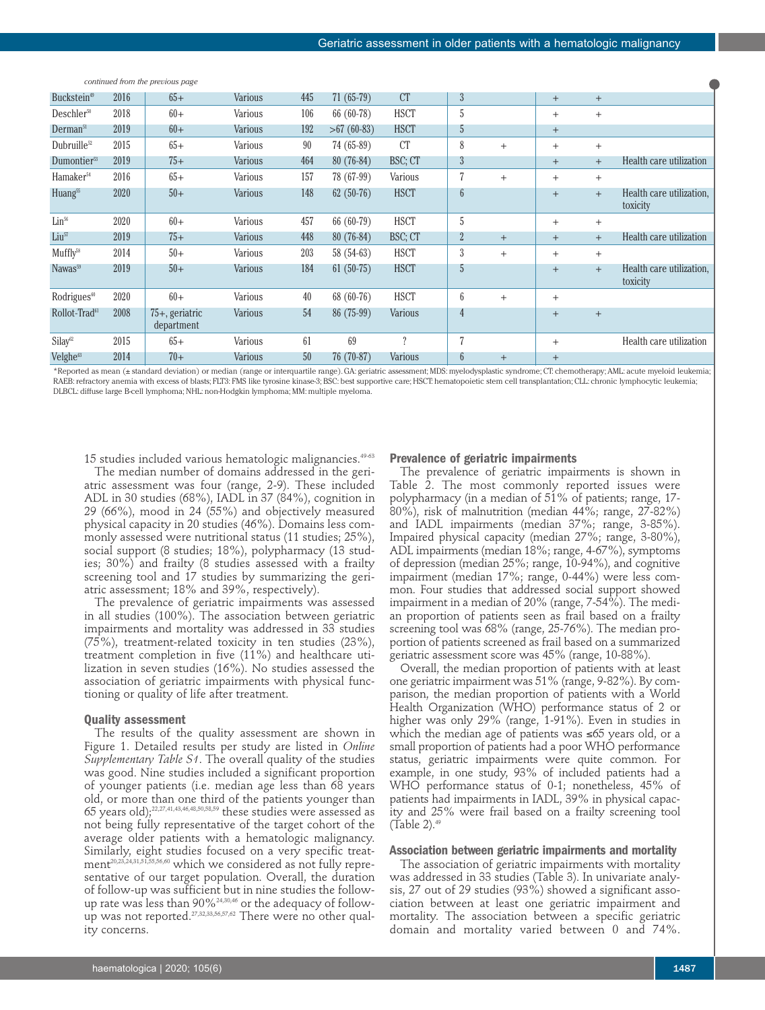| Buckstein <sup>49</sup>   | 2016 | $65+$             | Various        | 445 | $71(65-79)$  | <b>CT</b>      | $\mathfrak{Z}$  |        | $+$    | $+$ |                          |
|---------------------------|------|-------------------|----------------|-----|--------------|----------------|-----------------|--------|--------|-----|--------------------------|
| Deschler <sup>50</sup>    | 2018 | $60+$             | Various        | 106 | $66(60-78)$  | <b>HSCT</b>    | <sup>5</sup>    |        | $^{+}$ | $+$ |                          |
| Derman <sup>51</sup>      | 2019 | $60+$             | Various        | 192 | $>67(60-83)$ | <b>HSCT</b>    | 5               |        | $^{+}$ |     |                          |
| Dubruille <sup>52</sup>   | 2015 | $65+$             | Various        | 90  | 74 (65-89)   | <b>CT</b>      | 8               | $^{+}$ | $^{+}$ | $+$ |                          |
| Dumontier <sup>53</sup>   | 2019 | $75+$             | <b>Various</b> | 464 | $80(76-84)$  | BSC: CT        | 3               |        | $+$    | $+$ | Health care utilization  |
| Hamaker <sup>54</sup>     | 2016 | $65+$             | Various        | 157 | 78 (67-99)   | Various        |                 | $^{+}$ | $^{+}$ | $+$ |                          |
| Huang <sub>55</sub>       | 2020 | $50+$             | Various        | 148 | $62(50-76)$  | <b>HSCT</b>    | $6\phantom{1}$  |        | $+$    | $+$ | Health care utilization, |
|                           |      |                   |                |     |              |                |                 |        |        |     | toxicity                 |
| Lin <sup>56</sup>         | 2020 | $60+$             | Various        | 457 | 66 (60-79)   | <b>HSCT</b>    | 5               |        | $+$    | $+$ |                          |
| Liu <sup>57</sup>         | 2019 | $75+$             | Various        | 448 | $80(76-84)$  | BSC; CT        | $\overline{2}$  | $+$    | $+$    | $+$ | Health care utilization  |
| Muffly <sup>58</sup>      | 2014 | $50+$             | Various        | 203 | $58(54-63)$  | <b>HSCT</b>    | 3               | $^{+}$ | $+$    | $+$ |                          |
| Nawas <sup>59</sup>       | 2019 | $50+$             | Various        | 184 | $61(50-75)$  | <b>HSCT</b>    | 5               |        | $+$    | $+$ | Health care utilization, |
|                           |      |                   |                |     |              |                |                 |        |        |     | toxicity                 |
| Rodrigues <sup>60</sup>   | 2020 | $60+$             | Various        | 40  | 68 (60-76)   | <b>HSCT</b>    | 6               | $^{+}$ | $^{+}$ |     |                          |
| Rollot-Trad <sup>61</sup> | 2008 | $75+$ , geriatric | Various        | 54  | 86 (75-99)   | <b>Various</b> | 4               |        | $+$    | $+$ |                          |
|                           |      | department        |                |     |              |                |                 |        |        |     |                          |
| Silay <sup>62</sup>       | 2015 | $65+$             | Various        | 61  | 69           | $\mathcal{D}$  | 7               |        | $+$    |     | Health care utilization  |
| Velghe <sup>63</sup>      | 2014 | $70+$             | Various        | 50  | $76(70-87)$  | <b>Various</b> | $6\overline{6}$ | $^{+}$ | $+$    |     |                          |
|                           |      |                   |                |     |              |                |                 |        |        |     |                          |

*continued from the previous page*

\*Reported as mean (± standard deviation) or median (range or interquartile range). GA: geriatric assessment; MDS: myelodysplastic syndrome; CT: chemotherapy; AML: acute myeloid leukemia; RAEB: refractory anemia with excess of blasts; FLT3: FMS like tyrosine kinase-3; BSC: best supportive care; HSCT: hematopoietic stem cell transplantation; CLL: chronic lymphocytic leukemia; DLBCL: diffuse large B-cell lymphoma; NHL: non-Hodgkin lymphoma; MM: multiple myeloma.

15 studies included various hematologic malignancies.49-63

The median number of domains addressed in the geriatric assessment was four (range, 2-9). These included ADL in 30 studies (68%), IADL in 37 (84%), cognition in 29 (66%), mood in 24 (55%) and objectively measured physical capacity in 20 studies (46%). Domains less commonly assessed were nutritional status (11 studies; 25%), social support (8 studies; 18%), polypharmacy (13 studies; 30%) and frailty (8 studies assessed with a frailty screening tool and 17 studies by summarizing the geriatric assessment; 18% and 39%, respectively).

The prevalence of geriatric impairments was assessed in all studies (100%). The association between geriatric impairments and mortality was addressed in 33 studies (75%), treatment-related toxicity in ten studies (23%), treatment completion in five (11%) and healthcare utilization in seven studies (16%). No studies assessed the association of geriatric impairments with physical functioning or quality of life after treatment.

#### **Quality assessment**

The results of the quality assessment are shown in Figure 1. Detailed results per study are listed in *Online Supplementary Table S1*. The overall quality of the studies was good. Nine studies included a significant proportion of younger patients (i.e. median age less than 68 years old, or more than one third of the patients younger than 65 years old);<sup>22,27,41,43,46,48,50,58,59</sup> these studies were assessed as not being fully representative of the target cohort of the average older patients with a hematologic malignancy. Similarly, eight studies focused on a very specific treatment<sup>20,23,24,31,51,55,56,60</sup> which we considered as not fully representative of our target population. Overall, the duration of follow-up was sufficient but in nine studies the followup rate was less than 90%<sup>24,30,46</sup> or the adequacy of followup was not reported.27,32,33,56,57,62 There were no other quality concerns.

### **Prevalence of geriatric impairments**

The prevalence of geriatric impairments is shown in Table 2. The most commonly reported issues were polypharmacy (in a median of 51% of patients; range, 17- 80%), risk of malnutrition (median 44%; range, 27-82%) and IADL impairments (median 37%; range, 3-85%). Impaired physical capacity (median 27%; range, 3-80%), ADL impairments (median 18%; range, 4-67%), symptoms of depression (median 25%; range, 10-94%), and cognitive impairment (median 17%; range, 0-44%) were less common. Four studies that addressed social support showed impairment in a median of 20% (range, 7-54%). The median proportion of patients seen as frail based on a frailty screening tool was 68% (range, 25-76%). The median proportion of patients screened as frail based on a summarized geriatric assessment score was 45% (range, 10-88%).

Overall, the median proportion of patients with at least one geriatric impairment was 51% (range, 9-82%). By comparison, the median proportion of patients with a World Health Organization (WHO) performance status of 2 or higher was only 29% (range, 1-91%). Even in studies in which the median age of patients was ≤65 years old, or a small proportion of patients had a poor WHO performance status, geriatric impairments were quite common. For example, in one study, 93% of included patients had a WHO performance status of 0-1; nonetheless, 45% of patients had impairments in IADL, 39% in physical capacity and 25% were frail based on a frailty screening tool (Table 2).49

#### **Association between geriatric impairments and mortality**

The association of geriatric impairments with mortality was addressed in 33 studies (Table 3). In univariate analysis, 27 out of 29 studies (93%) showed a significant association between at least one geriatric impairment and mortality. The association between a specific geriatric domain and mortality varied between 0 and 74%.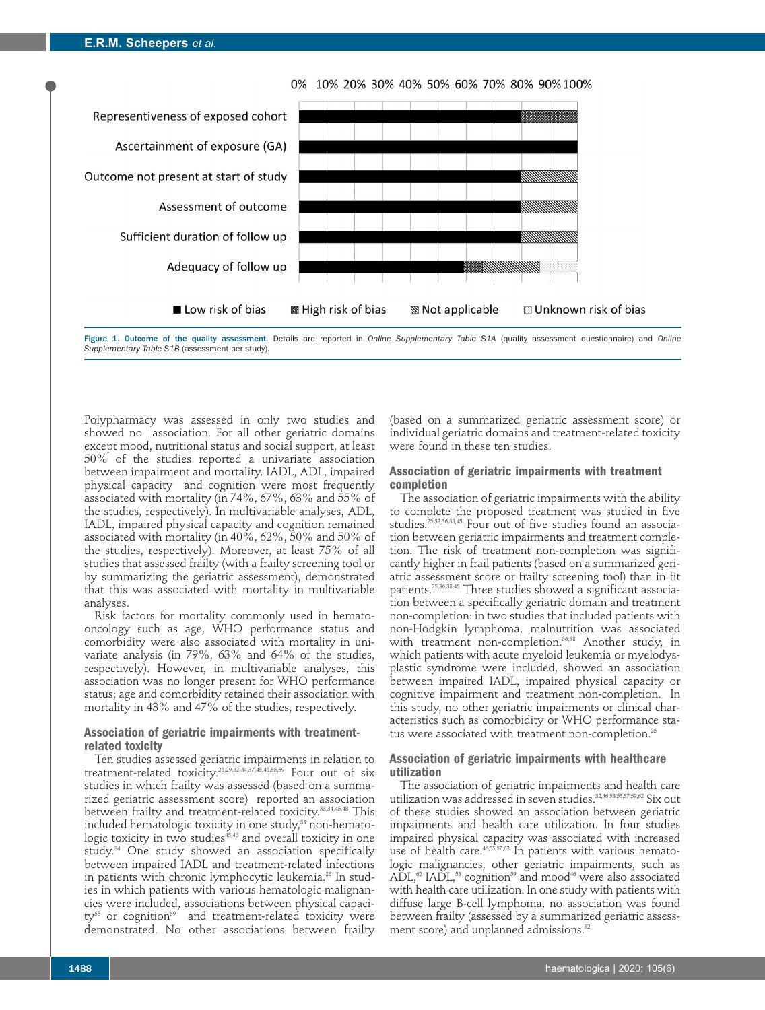

0% 10% 20% 30% 40% 50% 60% 70% 80% 90% 100%

Figure 1. Outcome of the quality assessment. Details are reported in *Online Supplementary Table S1A* (quality assessment questionnaire) and *Online Supplementary Table S1B* (assessment per study).

Polypharmacy was assessed in only two studies and showed no association. For all other geriatric domains except mood, nutritional status and social support, at least 50% of the studies reported a univariate association between impairment and mortality. IADL, ADL, impaired physical capacity and cognition were most frequently associated with mortality (in 74%, 67%, 63% and 55% of the studies, respectively). In multivariable analyses, ADL, IADL, impaired physical capacity and cognition remained associated with mortality (in 40%, 62%, 50% and 50% of the studies, respectively). Moreover, at least 75% of all studies that assessed frailty (with a frailty screening tool or by summarizing the geriatric assessment), demonstrated that this was associated with mortality in multivariable analyses.

Risk factors for mortality commonly used in hematooncology such as age, WHO performance status and comorbidity were also associated with mortality in univariate analysis (in 79%, 63% and 64% of the studies, respectively). However, in multivariable analyses, this association was no longer present for WHO performance status; age and comorbidity retained their association with mortality in 43% and 47% of the studies, respectively.

## **Association of geriatric impairments with treatmentrelated toxicity**

Ten studies assessed geriatric impairments in relation to treatment-related toxicity.28,29,32-34,37,45,48,55,59 Four out of six studies in which frailty was assessed (based on a summarized geriatric assessment score) reported an association between frailty and treatment-related toxicity.<sup>33,34,45,48</sup> This included hematologic toxicity in one study,<sup>33</sup> non-hematologic toxicity in two studies<sup>45,48</sup> and overall toxicity in one study.34 One study showed an association specifically between impaired IADL and treatment-related infections in patients with chronic lymphocytic leukemia.<sup>28</sup> In studies in which patients with various hematologic malignancies were included, associations between physical capacity<sup>55</sup> or cognition<sup>59</sup> and treatment-related toxicity were demonstrated. No other associations between frailty

(based on a summarized geriatric assessment score) or individual geriatric domains and treatment-related toxicity were found in these ten studies.

## **Association of geriatric impairments with treatment completion**

The association of geriatric impairments with the ability to complete the proposed treatment was studied in five studies.25,32,36,38,45 Four out of five studies found an association between geriatric impairments and treatment completion. The risk of treatment non-completion was significantly higher in frail patients (based on a summarized geriatric assessment score or frailty screening tool) than in fit patients.25,36,38,45 Three studies showed a significant association between a specifically geriatric domain and treatment non-completion: in two studies that included patients with non-Hodgkin lymphoma, malnutrition was associated with treatment non-completion.<sup>36,38</sup> Another study, in which patients with acute myeloid leukemia or myelodysplastic syndrome were included, showed an association between impaired IADL, impaired physical capacity or cognitive impairment and treatment non-completion. In this study, no other geriatric impairments or clinical characteristics such as comorbidity or WHO performance status were associated with treatment non-completion.<sup>25</sup>

## **Association of geriatric impairments with healthcare utilization**

The association of geriatric impairments and health care utilization was addressed in seven studies.<sup>32,46,53,55,57,59,62</sup> Six out of these studies showed an association between geriatric impairments and health care utilization. In four studies impaired physical capacity was associated with increased use of health care.<sup>46,55,57,62</sup> In patients with various hematologic malignancies, other geriatric impairments, such as  $ADL<sup>62</sup>$  IADL,<sup>53</sup> cognition<sup>59</sup> and mood<sup>46</sup> were also associated with health care utilization. In one study with patients with diffuse large B-cell lymphoma, no association was found between frailty (assessed by a summarized geriatric assessment score) and unplanned admissions.<sup>32</sup>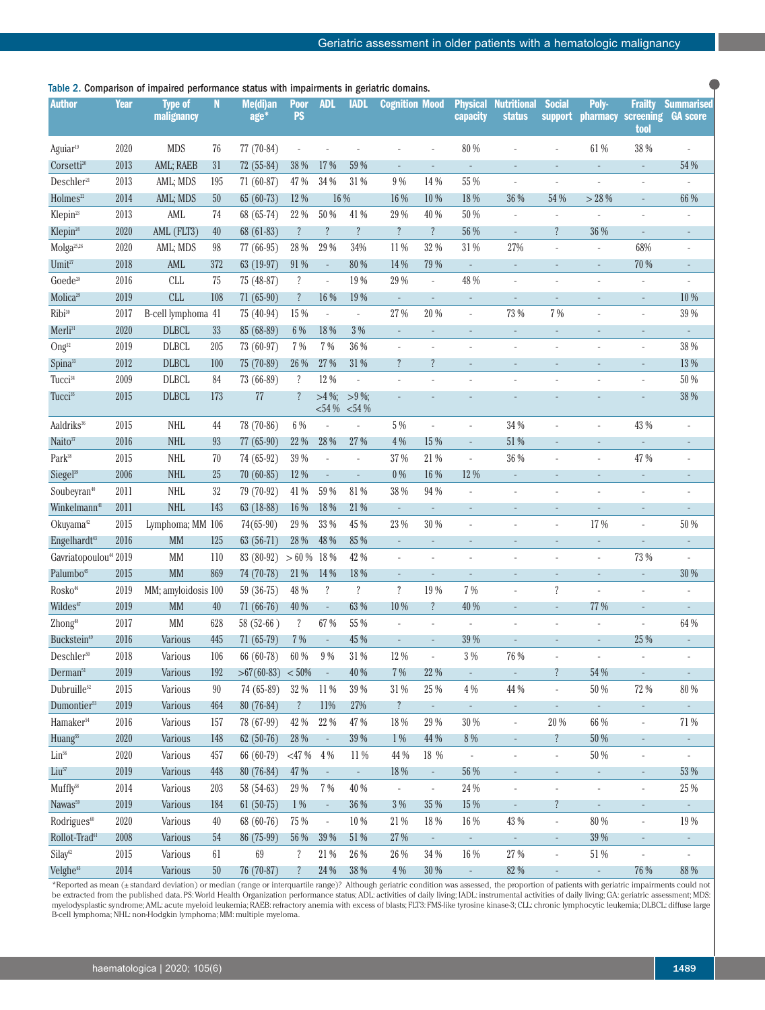| apic 2. Compar                    |          | iəvii vi illipali            | <del>σα μσποππαιισσ</del> | status with impairments in genative domains. |                          |                               |                          |                          |                          |                          |                                              |                                 |                             |                          |                                      |
|-----------------------------------|----------|------------------------------|---------------------------|----------------------------------------------|--------------------------|-------------------------------|--------------------------|--------------------------|--------------------------|--------------------------|----------------------------------------------|---------------------------------|-----------------------------|--------------------------|--------------------------------------|
| <b>Author</b>                     | Year     | <b>Type of</b><br>malignancy | N                         | Me(di)an<br>age*                             | <b>Poor</b><br><b>PS</b> | <b>ADL</b>                    | <b>IADL</b>              | <b>Cognition Mood</b>    |                          | capacity                 | <b>Physical Nutritional</b><br><b>status</b> | <b>Social</b><br><b>support</b> | Poly-<br>pharmacy screening | <b>Frailty</b><br>too    | <b>Summarised</b><br><b>GA</b> score |
| Aguiar <sup>19</sup>              | $2020\,$ | <b>MDS</b>                   | 76                        | 77 (70-84)                                   |                          |                               |                          |                          |                          | 80 %                     |                                              |                                 | 61 %                        | 38 %                     |                                      |
| Corsetti <sup>20</sup>            | 2013     | AML; RAEB                    | 31                        | $72(55-84)$                                  | 38 %                     | 17 %                          | 59 %                     |                          |                          |                          |                                              |                                 |                             |                          | 54 %                                 |
| Deschler <sup>21</sup>            | 2013     | AML; MDS                     | 195                       | $71(60-87)$                                  | 47 %                     | 34 %                          | 31 %                     | 9 %                      | 14 %                     | 55 %                     |                                              |                                 |                             |                          |                                      |
| Holmes <sup>22</sup>              | 2014     | AML; MDS                     | 50                        | $65(60-73)$                                  | 12 %                     | 16 %                          |                          | 16 %                     | 10 %                     | 18 %                     | 36 %                                         | 54 %                            | >28%                        |                          | 66 %                                 |
| Klepin <sup>23</sup>              | 2013     | AML                          | 74                        | 68 (65-74)                                   | $22\ \%$                 | 50 %                          | 41 %                     | 29 %                     | 40 %                     | 50 %                     |                                              |                                 |                             |                          |                                      |
| Klepin <sup>24</sup>              | 2020     | AML (FLT3)                   | 40                        | 68 (61-83)                                   | $\ddot{?}$               | $\ddot{?}$                    | $\overline{\mathcal{E}}$ | $\overline{\cdot}$       | $\overline{\mathcal{E}}$ | 56 %                     | L.                                           | $\overline{\mathcal{C}}$        | 36 %                        |                          |                                      |
| Molga <sup>25,26</sup>            | 2020     | AML; MDS                     | 98                        | 77 (66-95)                                   | 28 %                     | 29 %                          | 34%                      | 11 %                     | 32 %                     | 31 %                     | 27%                                          |                                 |                             | 68%                      |                                      |
| Umit <sup>27</sup>                | 2018     | AML                          | 372                       | 63 (19-97)                                   | 91 %                     | $\overline{\phantom{a}}$      | 80 %                     | 14 %                     | 79 %                     | ÷,                       |                                              |                                 |                             | 70 %                     |                                      |
| Goede <sup>28</sup>               | 2016     | <b>CLL</b>                   | 75                        | 75 (48-87)                                   | $\ddot{?}$               | l,                            | 19 %                     | 29 %                     | $\overline{a}$           | 48 %                     |                                              |                                 |                             |                          |                                      |
| Molica <sup>29</sup>              | 2019     | <b>CLL</b>                   | 108                       | $71(65-90)$                                  | $\ddot{?}$               | 16 %                          | 19 %                     | $\overline{\phantom{a}}$ | L.                       | $\sim$                   |                                              |                                 |                             |                          | 10 %                                 |
| Ribi <sup>30</sup>                | 2017     | B-cell lymphoma 41           |                           | 75 (40-94)                                   | 15 %                     |                               | ÷,                       | 27 %                     | 20 %                     |                          | 73 %                                         | 7 %                             |                             |                          | 39 %                                 |
| Merli <sup>31</sup>               | 2020     | <b>DLBCL</b>                 | 33                        | 85 (68-89)                                   | 6 %                      | 18 %                          | $3\,\%$                  |                          |                          |                          |                                              |                                 |                             |                          |                                      |
| Ong <sup>32</sup>                 | 2019     | <b>DLBCL</b>                 | 205                       | 73 (60-97)                                   | 7 %                      | $7\,\%$                       | 36 %                     |                          |                          |                          |                                              |                                 |                             |                          | 38 %                                 |
| Spina <sup>33</sup>               | 2012     | <b>DLBCL</b>                 | 100                       | 75 (70-89)                                   | 26 %                     | 27 %                          | 31 %                     | $\gamma$                 |                          |                          |                                              |                                 |                             |                          | 13 %                                 |
| Tucci <sup>34</sup>               | 2009     | <b>DLBCL</b>                 | 84                        | 73 (66-89)                                   | $\ddot{?}$               | 12 %                          | L,                       |                          |                          |                          |                                              |                                 |                             |                          | $50\ \%$                             |
| Tucci <sup>35</sup>               | 2015     | <b>DLBCL</b>                 | 173                       | $77\,$                                       | $\overline{\cdot}$       | $>4\%$ ;<br>$<$ 54 % $<$ 54 % | $>9\%$                   |                          |                          |                          |                                              |                                 |                             |                          | 38 %                                 |
| Aaldriks <sup>36</sup>            | 2015     | NHL                          | 44                        | 78 (70-86)                                   | $6\ \%$                  |                               |                          | 5 %                      |                          |                          | $34\,\%$                                     |                                 |                             | 43 %                     |                                      |
| Naito <sup>37</sup>               | 2016     | <b>NHL</b>                   | 93                        | $77(65-90)$                                  | 22 %                     | 28 %                          | 27 %                     | 4 %                      | 15 %                     |                          | 51 %                                         |                                 |                             |                          |                                      |
| Park <sup>38</sup>                | 2015     | <b>NHL</b>                   | $70\,$                    | 74 (65-92)                                   | 39 %                     |                               |                          | 37 %                     | 21 %                     | ÷,                       | 36 %                                         |                                 |                             | 47 %                     |                                      |
| Siegel <sup>39</sup>              | 2006     | <b>NHL</b>                   | 25                        | $70(60-85)$                                  | 12 %                     | $\overline{\phantom{a}}$      | $\overline{\phantom{a}}$ | $0\%$                    | 16 %                     | 12 %                     |                                              |                                 |                             |                          |                                      |
| Soubeyran <sup>40</sup>           | 2011     | <b>NHL</b>                   | $32\,$                    | 79 (70-92)                                   | 41 %                     | 59 %                          | 81 %                     | 38 %                     | 94 %                     |                          |                                              |                                 |                             |                          |                                      |
| Winkelmann <sup>41</sup>          | 2011     | <b>NHL</b>                   | 143                       | $63(18-88)$                                  | 16 %                     | 18 %                          | 21 %                     | $\overline{\phantom{a}}$ | $\overline{\phantom{a}}$ |                          |                                              |                                 |                             |                          |                                      |
| Okuyama <sup>42</sup>             | 2015     | Lymphoma; MM 106             |                           | $74(65-90)$                                  | $29\,\%$                 | 33 %                          | 45 %                     | 23 %                     | 30 %                     |                          |                                              |                                 | 17 %                        |                          | 50 %                                 |
| Engelhardt <sup>43</sup>          | 2016     | <b>MM</b>                    | 125                       | $63(56-71)$                                  | 28 %                     | 48 %                          | 85 %                     | $\overline{\phantom{a}}$ |                          |                          |                                              |                                 |                             |                          |                                      |
| Gavriatopoulou <sup>44</sup> 2019 |          | MM                           | 110                       | 83 (80-92)                                   | $>60\%$ 18%              |                               | 42 %                     |                          |                          |                          |                                              |                                 |                             | 73 %                     |                                      |
| Palumbo <sup>45</sup>             | 2015     | <b>MM</b>                    | 869                       | 74 (70-78)                                   | 21 %                     | 14 %                          | 18 %                     |                          |                          |                          |                                              |                                 |                             |                          | $30\,\%$                             |
| Rosko <sup>46</sup>               | 2019     | MM; amyloidosis 100          |                           | $59(36-75)$                                  | 48 %                     | $\ddot{?}$                    | $\ddot{?}$               | $\ddot{?}$               | 19 %                     | 7 %                      | Ĭ.                                           | $\overline{\cdot}$              |                             |                          |                                      |
| Wildes <sup>47</sup>              | 2019     | <b>MM</b>                    | 40                        | $71(66-76)$                                  | 40 %                     | $\overline{\phantom{a}}$      | 63 %                     | 10 %                     | $\overline{\cdot}$       | 40 %                     |                                              |                                 | 77 %                        |                          |                                      |
| $Z$ hong <sup>48</sup>            | 2017     | MM                           | 628                       | $58(52-66)$                                  | ?                        | 67 %                          | 55 %                     |                          |                          |                          |                                              |                                 |                             |                          | 64 %                                 |
| Buckstein <sup>49</sup>           | 2016     | Various                      | 445                       | $71(65-79)$                                  | 7 %                      |                               | 45 %                     |                          |                          | 39 %                     |                                              |                                 |                             | 25 %                     |                                      |
| Deschler <sup>50</sup>            | 2018     | Various                      | 106                       | 66 (60-78)                                   | 60 %                     | 9 %                           | 31 %                     | 12 %                     | $\Box$                   | 3 %                      | 76 %                                         | L,                              | $\frac{1}{2}$               | L,                       |                                      |
| Derman <sup>51</sup>              | 2019     | Various                      | 192                       | $>67(60-83)$                                 | < 50%                    | $\sim$                        | 40 %                     | 7 %                      | 22 %                     | $\overline{\phantom{a}}$ |                                              | $\overline{\cdot}$              | 54 %                        | $\overline{\phantom{a}}$ |                                      |
| Dubruille <sup>52</sup>           | 2015     | Various                      | $90\,$                    | 74 (65-89)                                   | $32\ \%$                 | 11 %                          | $39\,\%$                 | 31 %                     | $25\:\%$                 | $4\,\%$                  | 44 %                                         | $\overline{\phantom{a}}$        | $50\,\%$                    | 72 %                     | 80 %                                 |
| Dumontier <sup>53</sup>           | 2019     | Various                      | 464                       | 80 (76-84)                                   | $\ddot{?}$               | 11%                           | 27%                      | $\ddot{?}$               | $\sim$                   | $\omega$                 | $\sim$                                       | $\overline{\phantom{a}}$        | $\overline{\phantom{a}}$    | $\blacksquare$           |                                      |
| Hamaker <sup>54</sup>             | 2016     | Various                      | 157                       | 78 (67-99)                                   | 42 %                     | 22 %                          | 47 %                     | 18 %                     | $29\,\%$                 | $30\,\%$                 | $\overline{\phantom{a}}$                     | $20\,\%$                        | 66 %                        | ÷                        | 71 %                                 |
| Huang <sup>55</sup>               | 2020     | Various                      | 148                       | $62(50-76)$                                  | 28 %                     | $\sim$                        | 39 %                     | 1 %                      | 44 %                     | 8 %                      | $\overline{\phantom{a}}$                     | $\overline{\cdot}$              | 50 %                        | $\overline{\phantom{a}}$ | $\overline{\phantom{a}}$             |
| Lin <sup>56</sup>                 | $2020\,$ | Various                      | 457                       | 66 (60-79)                                   | $<$ 47 %                 | 4 %                           | 11 %                     | 44 %                     | 18 %                     | $\overline{\phantom{a}}$ | ä,                                           | ÷,                              | $50\,\%$                    | ÷,                       | $\overline{\phantom{a}}$             |
| Liu <sup>57</sup>                 | 2019     | Various                      | 448                       | 80 (76-84)                                   | 47 %                     | $\overline{\phantom{a}}$      | $\sim$                   | 18 %                     | $\overline{\phantom{a}}$ | 56 %                     | $\overline{\phantom{a}}$                     | $\overline{\phantom{a}}$        | $\overline{\phantom{a}}$    | $\overline{\phantom{a}}$ | 53 %                                 |
| Muffly <sup>58</sup>              | 2014     | Various                      | 203                       | 58 (54-63)                                   | 29 %                     | 7 %                           | 40 %                     | $\frac{1}{2}$            | $\overline{\phantom{a}}$ | $24\,\%$                 |                                              |                                 |                             |                          | $25\:\%$                             |
| Nawas <sup>59</sup>               | 2019     | Various                      | 184                       | $61(50-75)$                                  | 1 %                      | $\sim$                        | 36 %                     | 3 %                      | 35 %                     | 15 %                     | ÷,                                           | $\overline{\mathcal{E}}$        |                             | $\overline{\phantom{a}}$ |                                      |
| Rodrigues <sup>60</sup>           | $2020\,$ | Various                      | 40                        | 68 (60-76)                                   | 75 %                     | $\overline{\phantom{a}}$      | 10 %                     | 21 %                     | 18 %                     | 16 %                     | 43 %                                         | $\overline{\phantom{a}}$        | 80 %                        | $\overline{\phantom{a}}$ | 19 %                                 |
| Rollot-Trad <sup>61</sup>         | 2008     | Various                      | 54                        | 86 (75-99)                                   | 56 %                     | 39 %                          | 51 %                     | 27 %                     | $\overline{\phantom{a}}$ | $\overline{\phantom{a}}$ | $\overline{\phantom{a}}$                     | $\overline{\phantom{a}}$        | 39 %                        | $\overline{\phantom{a}}$ | $\overline{\phantom{a}}$             |
| Silay <sup>62</sup>               | $2015\,$ | Various                      | 61                        | 69                                           | $\ddot{?}$               | 21 %                          | $26\,\%$                 | 26 %                     | $34\,\%$                 | 16 %                     | 27 %                                         | ÷,                              | 51 %                        | ÷                        |                                      |
| Velghe®                           | 2014     | Various                      | 50                        | 76 (70-87)                                   | $\ddot{?}$               | 24 %                          | 38 %                     | 4 %                      | $30\,\%$                 | $\sim$                   | 82 %                                         | $\overline{\phantom{a}}$        | $\sim$                      | 76 %                     | 88 %                                 |

# Table 2. Comparison of impaired performance status with impairments in geriatric domains.

\*Reported as mean (± standard deviation) or median (range or interquartile range)? Although geriatric condition was assessed, the proportion of patients with geriatric impairments could not be extracted from the published data. PS: World Health Organization performance status; ADL: activities of daily living; IADL: instrumental activities of daily living; GA: geriatric assessment; MDS: myelodysplastic syndrome; AML: acute myeloid leukemia; RAEB: refractory anemia with excess of blasts; FLT3: FMS-like tyrosine kinase-3; CLL: chronic lymphocytic leukemia; DLBCL: diffuse large B-cell lymphoma; NHL: non-Hodgkin lymphoma; MM: multiple myeloma.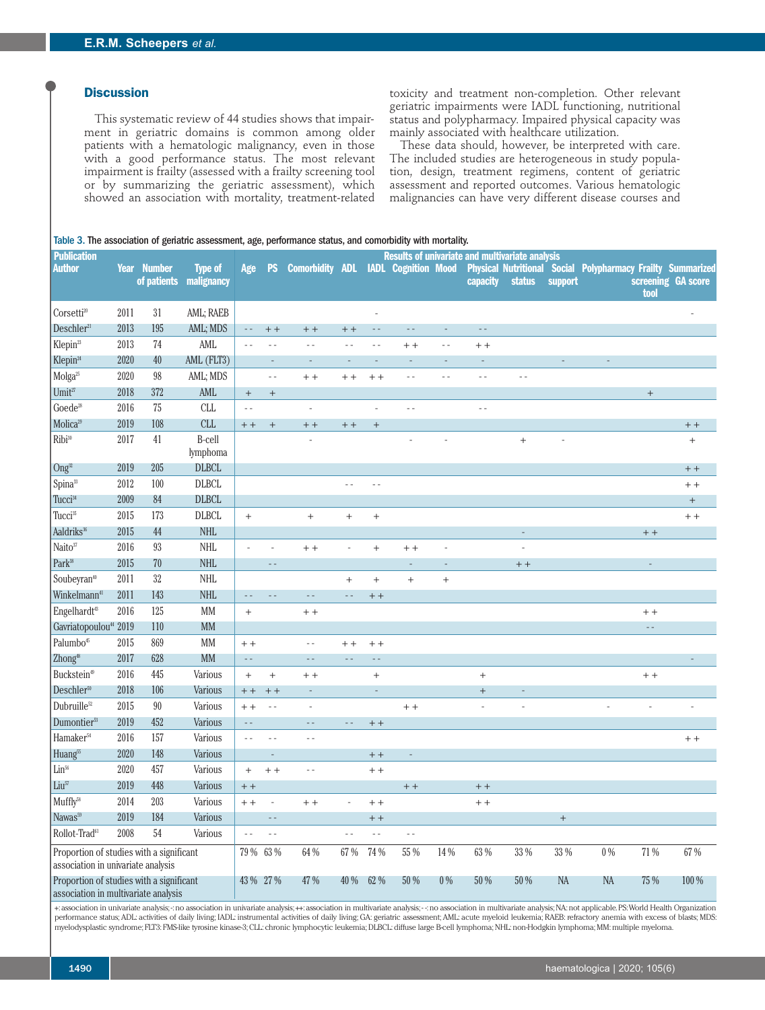# **Discussion**

This systematic review of 44 studies shows that impairment in geriatric domains is common among older patients with a hematologic malignancy, even in those with a good performance status. The most relevant impairment is frailty (assessed with a frailty screening tool or by summarizing the geriatric assessment), which showed an association with mortality, treatment-related

toxicity and treatment non-completion. Other relevant geriatric impairments were IADL functioning, nutritional status and polypharmacy. Impaired physical capacity was mainly associated with healthcare utilization.

These data should, however, be interpreted with care. The included studies are heterogeneous in study population, design, treatment regimens, content of geriatric assessment and reported outcomes. Various hematologic malignancies can have very different disease courses and

| Table 3. The association of geriatric assessment, age, performance status, and comorbidity with mortality. |  |  |  |  |  |  |  |  |  |  |  |  |  |
|------------------------------------------------------------------------------------------------------------|--|--|--|--|--|--|--|--|--|--|--|--|--|
|------------------------------------------------------------------------------------------------------------|--|--|--|--|--|--|--|--|--|--|--|--|--|

|                                                                                  |             |                              |                              | ັ                               | .                                |                          |               |               |                            |                |               |                                                                                                        |                                  |         |                                                       |                    |
|----------------------------------------------------------------------------------|-------------|------------------------------|------------------------------|---------------------------------|----------------------------------|--------------------------|---------------|---------------|----------------------------|----------------|---------------|--------------------------------------------------------------------------------------------------------|----------------------------------|---------|-------------------------------------------------------|--------------------|
| <b>Publication</b><br><b>Author</b>                                              | <b>Year</b> | <b>Number</b><br>of patients | <b>Type of</b><br>malignancy | Age                             | <b>PS</b>                        | <b>Comorbidity</b>       | <b>ADL</b>    |               | <b>IADL Cognition Mood</b> |                | capacity      | <b>Results of univariate and multivariate analysis</b><br><b>Physical Nutritional</b><br><b>status</b> | support                          |         | <b>Social Polypharmacy Frailty Summarized</b><br>tool | screening GA score |
| Corsetti <sup>20</sup>                                                           | 2011        | 31                           | AML; RAEB                    |                                 |                                  |                          |               | J.            |                            |                |               |                                                                                                        |                                  |         |                                                       |                    |
| Deschler <sup>21</sup>                                                           | 2013        | 195                          | AML; MDS                     | $\sim$ $-$                      | $+ +$                            | $+ +$                    | $+ +$         | $ -$          | $\sim$ $-$                 | ÷,             | $ -$          |                                                                                                        |                                  |         |                                                       |                    |
| Klepin <sup>23</sup>                                                             | 2013        | $74\,$                       | AML                          | $\sim$ $\sim$                   | $\sim$ $\sim$                    | $\overline{\phantom{a}}$ | $\sim$ $-$    | $\sim$ $-$    | $+ +$                      | $\sim$ $-$     | $+ +$         |                                                                                                        |                                  |         |                                                       |                    |
| Klepin <sup>24</sup>                                                             | 2020        | 40                           | AML (FLT3)                   |                                 | $\overline{\phantom{a}}$         | $\bar{ }$                |               |               | ÷,                         | ÷,             |               |                                                                                                        |                                  |         |                                                       |                    |
| Molga <sup>25</sup>                                                              | 2020        | $98\,$                       | AML; MDS                     |                                 | $\sim$ $-$                       | $+ +$                    | $+ +$         | $+ +$         | $\sim$ $-$                 | $ -$           | $\sim$ $\sim$ |                                                                                                        |                                  |         |                                                       |                    |
| U <sub>mit</sub> <sup>27</sup>                                                   | 2018        | 372                          | AML                          | $+$                             | $\begin{array}{c} + \end{array}$ |                          |               |               |                            |                |               |                                                                                                        |                                  |         |                                                       |                    |
| Goede <sup>28</sup>                                                              | 2016        | 75                           | CLL                          | $\overline{a}$                  |                                  | L,                       |               | ÷,            | $\sim$ $\sim$              |                | $\sim$ $\sim$ |                                                                                                        |                                  |         |                                                       |                    |
| Molica <sup>29</sup>                                                             | 2019        | 108                          | <b>CLL</b>                   | $+ +$                           | $\, +$                           | $+ +$                    | $+ +$         | $\, +$        |                            |                |               |                                                                                                        |                                  |         |                                                       | $+ +$              |
| Ribi <sup>30</sup>                                                               | 2017        | 41                           | <b>B-cell</b><br>lymphoma    |                                 |                                  |                          |               |               |                            |                |               | $\! + \!\!\!\!$                                                                                        |                                  |         |                                                       | $^{+}$             |
| $Ong^3$                                                                          | 2019        | $205\,$                      | <b>DLBCL</b>                 |                                 |                                  |                          |               |               |                            |                |               |                                                                                                        |                                  |         |                                                       | $+ +$              |
| Spina <sup>33</sup>                                                              | 2012        | 100                          | <b>DLBCL</b>                 |                                 |                                  |                          |               | $\sim$ $\sim$ |                            |                |               |                                                                                                        |                                  |         |                                                       | $+ +$              |
| Tucci <sup>34</sup>                                                              | 2009        | 84                           | <b>DLBCL</b>                 |                                 |                                  |                          |               |               |                            |                |               |                                                                                                        |                                  |         |                                                       | $\qquad \qquad +$  |
| Tucci <sup>35</sup>                                                              | 2015        | 173                          | <b>DLBCL</b>                 | $^{+}$                          |                                  |                          | $^{+}$        | $^+$          |                            |                |               |                                                                                                        |                                  |         |                                                       | $+ +$              |
| Aaldriks <sup>36</sup>                                                           | 2015        | 44                           | NHL                          |                                 |                                  |                          |               |               |                            |                |               |                                                                                                        |                                  |         | $+ +$                                                 |                    |
| Naito <sup>37</sup>                                                              | 2016        | $93\,$                       | <b>NHL</b>                   | $\overline{a}$                  |                                  | $+ +$                    |               | $^{+}$        | $+ +$                      | i,             |               |                                                                                                        |                                  |         |                                                       |                    |
| Park <sup>38</sup>                                                               | 2015        | 70                           | <b>NHL</b>                   |                                 | $\sim$ $\sim$                    |                          |               |               | $\overline{\phantom{a}}$   | $\overline{a}$ |               | $+ +$                                                                                                  |                                  |         |                                                       |                    |
| Soubeyran <sup>40</sup>                                                          | 2011        | $32\,$                       | $\mathsf{NHL}$               |                                 |                                  |                          | $^{+}$        |               |                            | $\! + \!$      |               |                                                                                                        |                                  |         |                                                       |                    |
| Winkelmann <sup>41</sup>                                                         | 2011        | 143                          | <b>NHL</b>                   | $-$                             |                                  | - -                      | $-$           | $+ +$         |                            |                |               |                                                                                                        |                                  |         |                                                       |                    |
| Engelhardt <sup>43</sup>                                                         | 2016        | 125                          | <b>MM</b>                    | $^+$                            |                                  | $+ +$                    |               |               |                            |                |               |                                                                                                        |                                  |         | $+ +$                                                 |                    |
| Gavriatopoulou <sup>44</sup> 2019                                                |             | 110                          | <b>MM</b>                    |                                 |                                  |                          |               |               |                            |                |               |                                                                                                        |                                  |         | $\sim$ $-$                                            |                    |
| Palumbo <sup>45</sup>                                                            | 2015        | 869                          | MM                           | $+ +$                           |                                  | $\sim$ $-$               | $+ +$         | $+ +$         |                            |                |               |                                                                                                        |                                  |         |                                                       |                    |
| Zhong <sup>48</sup>                                                              | 2017        | 628                          | <b>MM</b>                    | $\sim$ $-$                      |                                  | $ -$                     | $\frac{1}{2}$ | $ -$          |                            |                |               |                                                                                                        |                                  |         |                                                       |                    |
| Buckstein <sup>49</sup>                                                          | 2016        | 445                          | Various                      | $^{+}$                          | $^{+}$                           | $+ +$                    |               |               |                            |                |               |                                                                                                        |                                  |         | $+ +$                                                 |                    |
| Deschler <sup>50</sup>                                                           | 2018        | 106                          | Various                      | $+ +$                           | $+ +$                            | $\overline{\phantom{a}}$ |               | ÷,            |                            |                | $^{+}$        |                                                                                                        |                                  |         |                                                       |                    |
| Dubruille <sup>52</sup>                                                          | 2015        | $90\,$                       | Various                      | $+ +$                           | $\sim$ $\sim$                    | L,                       |               |               | $+ +$                      |                |               |                                                                                                        |                                  |         |                                                       |                    |
| Dumontier <sup>53</sup>                                                          | 2019        | 452                          | Various                      | $\sim$ $-$                      |                                  | $ -$                     |               | $+ +$         |                            |                |               |                                                                                                        |                                  |         |                                                       |                    |
| Hamaker <sup>54</sup>                                                            | 2016        | 157                          | Various                      | $\sim$ $\sim$                   | ٠.                               | $\overline{\phantom{a}}$ |               |               |                            |                |               |                                                                                                        |                                  |         |                                                       | $+ +$              |
| Huang <sup>55</sup>                                                              | 2020        | 148                          | Various                      |                                 |                                  |                          |               | $+ +$         |                            |                |               |                                                                                                        |                                  |         |                                                       |                    |
| Lin <sup>56</sup>                                                                | 2020        | 457                          | Various                      | $\! + \!\!\!\!$                 | $+ +$                            | $ -$                     |               | $+ +$         |                            |                |               |                                                                                                        |                                  |         |                                                       |                    |
| Liu <sup>57</sup>                                                                | 2019        | 448                          | Various                      | $+ +$                           |                                  |                          |               |               | $+ +$                      |                | $+ +$         |                                                                                                        |                                  |         |                                                       |                    |
| Muffly <sup>58</sup>                                                             | 2014        | $203\,$                      | Various                      | $^{\mathrm{+}}$ $^{\mathrm{+}}$ |                                  | $^+$ +                   |               | $++$          |                            |                | $++$          |                                                                                                        |                                  |         |                                                       |                    |
| Nawas <sup>59</sup>                                                              | 2019        | 184                          | Various                      |                                 | $\frac{1}{2}$                    |                          |               | $+ +$         |                            |                |               |                                                                                                        | $\begin{array}{c} + \end{array}$ |         |                                                       |                    |
| Rollot-Trad <sup>61</sup>                                                        | 2008        | $54\,$                       | Various                      | $\sim$ $\sim$                   | $\sim$ $-$                       |                          | $\sim$ $\sim$ | $\sim$ $-$    | $\sim$ $-$                 |                |               |                                                                                                        |                                  |         |                                                       |                    |
| Proportion of studies with a significant<br>association in univariate analysis   |             |                              |                              |                                 | 79 % 63 %                        | 64 %                     | $67\,\%$      | 74 %          | $55\ \%$                   | 14 %           | $63\:\%$      | $33\,\%$                                                                                               | $33\,\%$                         | $0\,\%$ | 71 %                                                  | $67\ \%$           |
| Proportion of studies with a significant<br>association in multivariate analysis |             |                              |                              |                                 | 43 % 27 %                        | 47 %                     | 40 %          | 62 %          | $50\,\%$                   | $0\%$          | 50 %          | 50 %                                                                                                   | <b>NA</b>                        | NA      | 75 %                                                  | 100 %              |

+: association in univariate analysis; -: no association in univariate analysis; ++: association in multivariate analysis; - -: no association in multivariate analysis; NA: not applicable. PS: World Health Organization performance status; ADL: activities of daily living; IADL: instrumental activities of daily living; GA: geriatric assessment; AML: acute myeloid leukemia; RAEB: refractory anemia with excess of blasts; MDS: myelodysplastic syndrome; FLT3: FMS-like tyrosine kinase-3; CLL: chronic lymphocytic leukemia; DLBCL: diffuse large B-cell lymphoma; NHL: non-Hodgkin lymphoma; MM: multiple myeloma.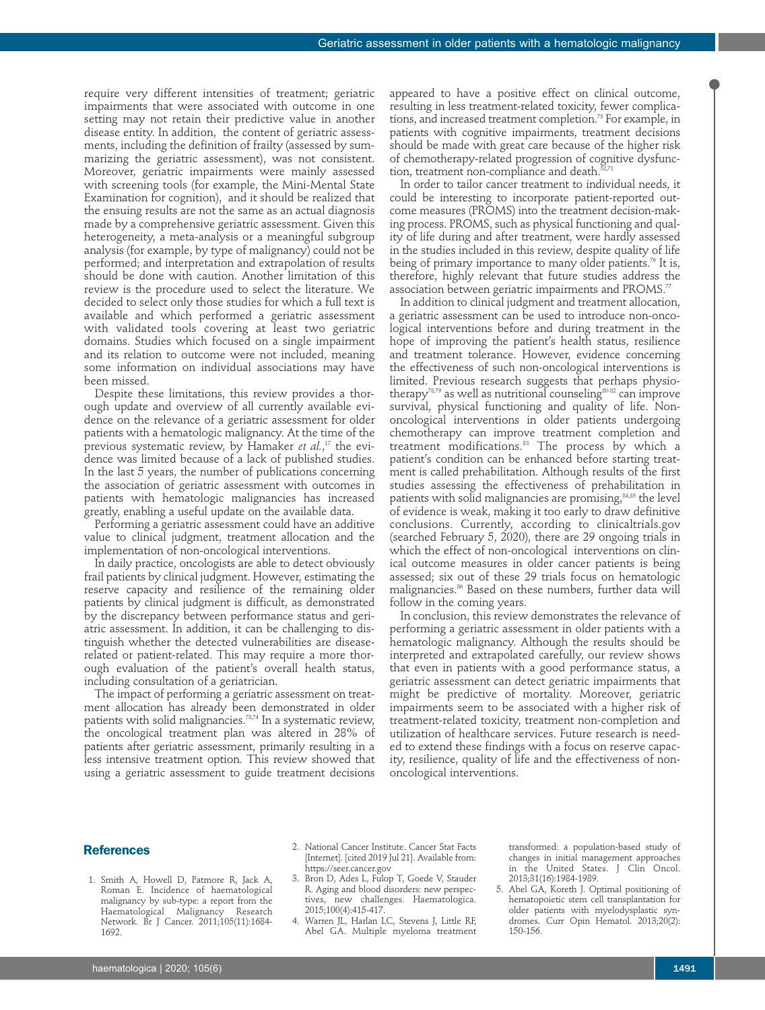require very different intensities of treatment; geriatric impairments that were associated with outcome in one setting may not retain their predictive value in another disease entity. In addition, the content of geriatric assessments, including the definition of frailty (assessed by summarizing the geriatric assessment), was not consistent. Moreover, geriatric impairments were mainly assessed with screening tools (for example, the Mini-Mental State Examination for cognition), and it should be realized that the ensuing results are not the same as an actual diagnosis made by a comprehensive geriatric assessment. Given this heterogeneity, a meta-analysis or a meaningful subgroup analysis (for example, by type of malignancy) could not be performed; and interpretation and extrapolation of results should be done with caution. Another limitation of this review is the procedure used to select the literature. We decided to select only those studies for which a full text is available and which performed a geriatric assessment with validated tools covering at least two geriatric domains. Studies which focused on a single impairment and its relation to outcome were not included, meaning some information on individual associations may have been missed.

Despite these limitations, this review provides a thorough update and overview of all currently available evidence on the relevance of a geriatric assessment for older patients with a hematologic malignancy. At the time of the previous systematic review, by Hamaker *et al.*, <sup>17</sup> the evidence was limited because of a lack of published studies. In the last 5 years, the number of publications concerning the association of geriatric assessment with outcomes in patients with hematologic malignancies has increased greatly, enabling a useful update on the available data.

Performing a geriatric assessment could have an additive value to clinical judgment, treatment allocation and the implementation of non-oncological interventions.

In daily practice, oncologists are able to detect obviously frail patients by clinical judgment. However, estimating the reserve capacity and resilience of the remaining older patients by clinical judgment is difficult, as demonstrated by the discrepancy between performance status and geriatric assessment. In addition, it can be challenging to distinguish whether the detected vulnerabilities are diseaserelated or patient-related. This may require a more thorough evaluation of the patient's overall health status, including consultation of a geriatrician.

The impact of performing a geriatric assessment on treatment allocation has already been demonstrated in older patients with solid malignancies.<sup>73,74</sup> In a systematic review, the oncological treatment plan was altered in 28% of patients after geriatric assessment, primarily resulting in a less intensive treatment option. This review showed that using a geriatric assessment to guide treatment decisions appeared to have a positive effect on clinical outcome, resulting in less treatment-related toxicity, fewer complications, and increased treatment completion.75 For example, in patients with cognitive impairments, treatment decisions should be made with great care because of the higher risk of chemotherapy-related progression of cognitive dysfunction, treatment non-compliance and death. $52,71$ 

In order to tailor cancer treatment to individual needs, it could be interesting to incorporate patient-reported outcome measures (PROMS) into the treatment decision-making process. PROMS, such as physical functioning and quality of life during and after treatment, were hardly assessed in the studies included in this review, despite quality of life being of primary importance to many older patients.<sup>76</sup> It is, therefore, highly relevant that future studies address the association between geriatric impairments and PROMS.<sup>77</sup>

In addition to clinical judgment and treatment allocation, a geriatric assessment can be used to introduce non-oncological interventions before and during treatment in the hope of improving the patient's health status, resilience and treatment tolerance. However, evidence concerning the effectiveness of such non-oncological interventions is limited. Previous research suggests that perhaps physiotherapy<sup>78,79</sup> as well as nutritional counseling<sup>80-82</sup> can improve survival, physical functioning and quality of life. Nononcological interventions in older patients undergoing chemotherapy can improve treatment completion and treatment modifications.83 The process by which a patient's condition can be enhanced before starting treatment is called prehabilitation. Although results of the first studies assessing the effectiveness of prehabilitation in patients with solid malignancies are promising,<sup>84,85</sup> the level of evidence is weak, making it too early to draw definitive conclusions. Currently, according to clinicaltrials.gov (searched February 5, 2020), there are 29 ongoing trials in which the effect of non-oncological interventions on clinical outcome measures in older cancer patients is being assessed; six out of these 29 trials focus on hematologic malignancies.<sup>86</sup> Based on these numbers, further data will follow in the coming years.

In conclusion, this review demonstrates the relevance of performing a geriatric assessment in older patients with a hematologic malignancy. Although the results should be interpreted and extrapolated carefully, our review shows that even in patients with a good performance status, a geriatric assessment can detect geriatric impairments that might be predictive of mortality. Moreover, geriatric impairments seem to be associated with a higher risk of treatment-related toxicity, treatment non-completion and utilization of healthcare services. Future research is needed to extend these findings with a focus on reserve capacity, resilience, quality of life and the effectiveness of nononcological interventions.

### **References**

- 1. Smith A, Howell D, Patmore R, Jack A, Roman E. Incidence of haematological malignancy by sub-type: a report from the Haematological Malignancy Research Network. Br J Cancer. 2011;105(11):1684- 1692.
- 2. National Cancer Institute. Cancer Stat Facts [Internet]. [cited 2019 Jul 21]. Available from: https://seer.cancer.gov
- 3. Bron D, Ades L, Fulop T, Goede V, Stauder R. Aging and blood disorders: new perspectives, new challenges. Haematologica. 2015;100(4):415-417.
- 4. Warren JL, Harlan LC, Stevens J, Little RF, Abel GA. Multiple myeloma treatment

transformed: a population-based study of changes in initial management approaches in the United States. J Clin Oncol. 2013;31(16):1984-1989.

5. Abel GA, Koreth J. Optimal positioning of hematopoietic stem cell transplantation for older patients with myelodysplastic syndromes. Curr Opin Hematol. 2013;20(2): 150-156.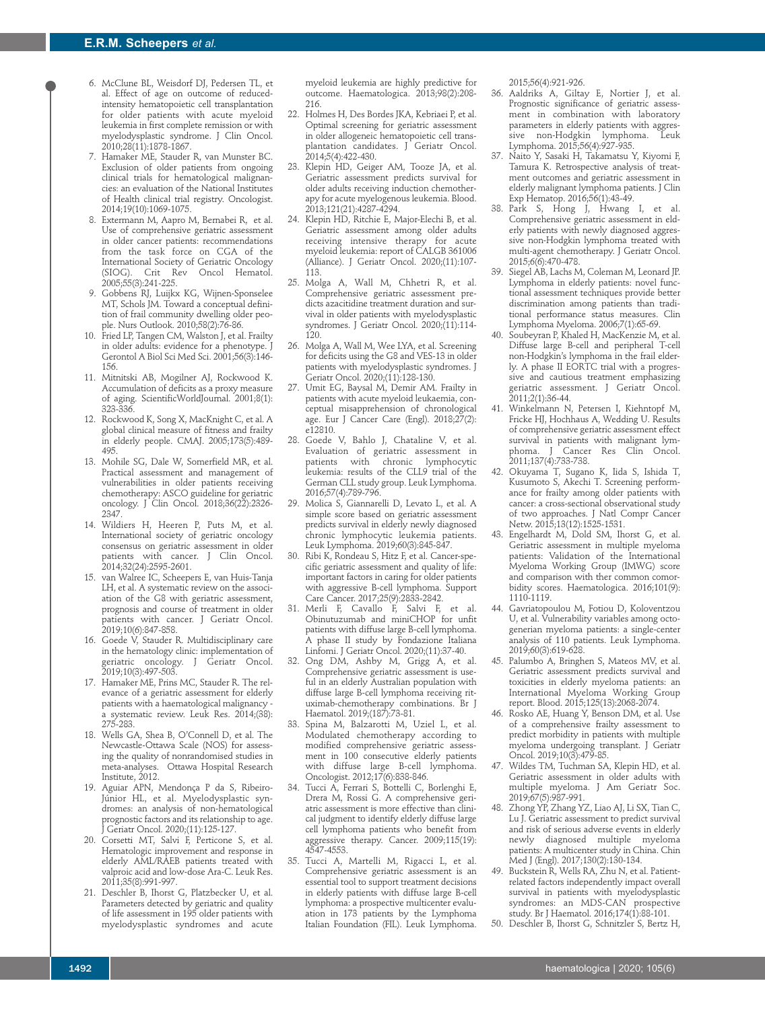- 6. McClune BL, Weisdorf DJ, Pedersen TL, et al. Effect of age on outcome of reducedintensity hematopoietic cell transplantation for older patients with acute myeloid leukemia in first complete remission or with myelodysplastic syndrome. J Clin Oncol. 2010;28(11):1878-1867.
- 7. Hamaker ME, Stauder R, van Munster BC. Exclusion of older patients from ongoing clinical trials for hematological malignancies: an evaluation of the National Institutes of Health clinical trial registry. Oncologist. 2014;19(10):1069-1075.
- 8. Extermann M, Aapro M, Bernabei R, et al. Use of comprehensive geriatric assessment in older cancer patients: recommendations from the task force on CGA of the International Society of Geriatric Oncology (SIOG). Crit Rev Oncol Hematol. 2005;55(3):241-225.
- 9. Gobbens RJ, Luijkx KG, Wijnen-Sponselee MT, Schols JM. Toward a conceptual definition of frail community dwelling older people. Nurs Outlook. 2010;58(2):76-86.
- 10. Fried LP, Tangen CM, Walston J, et al. Frailty in older adults: evidence for a phenotype. J Gerontol A Biol Sci Med Sci. 2001;56(3):146- 156.
- 11. Mitnitski AB, Mogilner AJ, Rockwood K. Accumulation of deficits as a proxy measure of aging. ScientificWorldJournal. 2001;8(1): 323-336.
- 12. Rockwood K, Song X, MacKnight C, et al. A global clinical measure of fitness and frailty in elderly people. CMAJ. 2005;173(5):489- 495.
- 13. Mohile SG, Dale W, Somerfield MR, et al. Practical assessment and management of vulnerabilities in older patients receiving chemotherapy: ASCO guideline for geriatric oncology. J Clin Oncol. 2018;36(22):2326- 2347.
- 14. Wildiers H, Heeren P, Puts M, et al. International society of geriatric oncology consensus on geriatric assessment in older patients with cancer. J Clin Oncol. 2014;32(24):2595-2601.
- 15. van Walree IC, Scheepers E, van Huis-Tanja LH, et al. A systematic review on the association of the G8 with geriatric assessment, prognosis and course of treatment in older patients with cancer. J Geriatr Oncol. 2019;10(6):847-858.
- 16. Goede V, Stauder R. Multidisciplinary care in the hematology clinic: implementation of geriatric oncology. J Geriatr Oncol. 2019;10(3):497-503.
- 17. Hamaker ME, Prins MC, Stauder R. The relevance of a geriatric assessment for elderly patients with a haematological malignancy a systematic review. Leuk Res. 2014;(38): 275-283.
- 18. Wells GA, Shea B, O'Connell D, et al. The Newcastle-Ottawa Scale (NOS) for assessing the quality of nonrandomised studies in meta-analyses. Ottawa Hospital Research Institute, 2012.
- 19. Aguiar APN, Mendonça P da S, Ribeiro-Júnior HL, et al. Myelodysplastic syndromes: an analysis of non-hematological prognostic factors and its relationship to age. J Geriatr Oncol. 2020;(11):125-127.
- 20. Corsetti MT, Salvi F, Perticone S, et al. Hematologic improvement and response in elderly AML/RAEB patients treated with valproic acid and low-dose Ara-C. Leuk Res. 2011;35(8):991-997.
- 21. Deschler B, Ihorst G, Platzbecker U, et al. Parameters detected by geriatric and quality of life assessment in 195 older patients with myelodysplastic syndromes and acute

myeloid leukemia are highly predictive for outcome. Haematologica. 2013;98(2):208- 216.

- 22. Holmes H, Des Bordes JKA, Kebriaei P, et al. Optimal screening for geriatric assessment in older allogeneic hematopoietic cell transplantation candidates. J Geriatr Oncol. 2014;5(4):422-430.
- 23. Klepin HD, Geiger AM, Tooze JA, et al. Geriatric assessment predicts survival for older adults receiving induction chemotherapy for acute myelogenous leukemia. Blood. 2013;121(21):4287-4294.
- 24. Klepin HD, Ritchie E, Major-Elechi B, et al. Geriatric assessment among older adults receiving intensive therapy for acute myeloid leukemia: report of CALGB 361006 (Alliance). J Geriatr Oncol. 2020;(11):107- 113.
- 25. Molga A, Wall M, Chhetri R, et al. Comprehensive geriatric assessment predicts azacitidine treatment duration and survival in older patients with myelodysplastic syndromes. J Geriatr Oncol. 2020;(11):114-120.
- 26. Molga A, Wall M, Wee LYA, et al. Screening for deficits using the G8 and VES-13 in older patients with myelodysplastic syndromes. J Geriatr Oncol. 2020;(11):128-130.
- 27. Umit EG, Baysal M, Demir AM. Frailty in patients with acute myeloid leukaemia, conceptual misapprehension of chronological age. Eur J Cancer Care (Engl). 2018;27(2): e12810.
- 28. Goede V, Bahlo J, Chataline V, et al. Evaluation of geriatric assessment in patients with chronic lymphocytic leukemia: results of the CLL9 trial of the German CLL study group. Leuk Lymphoma. 2016;57(4):789-796.
- 29. Molica S, Giannarelli D, Levato L, et al. A simple score based on geriatric assessment predicts survival in elderly newly diagnosed chronic lymphocytic leukemia patients. Leuk Lymphoma. 2019;60(3):845-847.
- 30. Ribi K, Rondeau S, Hitz F, et al. Cancer-specific geriatric assessment and quality of life: important factors in caring for older patients with aggressive B-cell lymphoma. Support Care Cancer. 2017;25(9):2833-2842.
- 31. Merli F, Cavallo F, Salvi F, et al. Obinutuzumab and miniCHOP for unfit patients with diffuse large B-cell lymphoma. A phase II study by Fondazione Italiana Linfomi. J Geriatr Oncol. 2020;(11):37-40.
- 32. Ong DM, Ashby M, Grigg A, et al. Comprehensive geriatric assessment is useful in an elderly Australian population with diffuse large B-cell lymphoma receiving rituximab-chemotherapy combinations. Br J Haematol. 2019;(187):73-81.
- 33. Spina M, Balzarotti M, Uziel L, et al. Modulated chemotherapy according to modified comprehensive geriatric assessment in 100 consecutive elderly patients with diffuse large B-cell lymphoma. Oncologist. 2012;17(6):838-846.
- Tucci A, Ferrari S, Bottelli C, Borlenghi E, Drera M, Rossi G. A comprehensive geriatric assessment is more effective than clinical judgment to identify elderly diffuse large cell lymphoma patients who benefit from aggressive therapy. Cancer. 2009;115(19): 4547-4553.
- 35. Tucci A, Martelli M, Rigacci L, et al. Comprehensive geriatric assessment is an essential tool to support treatment decisions in elderly patients with diffuse large B-cell lymphoma: a prospective multicenter evaluation in 173 patients by the Lymphoma Italian Foundation (FIL). Leuk Lymphoma.

2015;56(4):921-926.

- 36. Aaldriks A, Giltay E, Nortier J, et al. Prognostic significance of geriatric assessment in combination with laboratory parameters in elderly patients with aggres-<br>sive non-Hodgkin lymphoma Leuk sive non-Hodgkin lymphoma. Lymphoma. 2015;56(4):927-935.
- 37. Naito Y, Sasaki H, Takamatsu Y, Kiyomi F, Tamura K. Retrospective analysis of treatment outcomes and geriatric assessment in elderly malignant lymphoma patients. J Clin Exp Hematop. 2016;56(1):43-49.
- 38. Park S, Hong J, Hwang I, et al. Comprehensive geriatric assessment in elderly patients with newly diagnosed aggressive non-Hodgkin lymphoma treated with multi-agent chemotherapy. J Geriatr Oncol. 2015;6(6):470-478.
- 39. Siegel AB, Lachs M, Coleman M, Leonard JP. Lymphoma in elderly patients: novel functional assessment techniques provide better discrimination among patients than traditional performance status measures. Clin Lymphoma Myeloma. 2006;7(1):65-69.
- 40. Soubeyran P, Khaled H, MacKenzie M, et al. Diffuse large B-cell and peripheral T-cell non-Hodgkin's lymphoma in the frail elderly. A phase II EORTC trial with a progressive and cautious treatment emphasizing geriatric assessment. J Geriatr Oncol.  $2011 \cdot 2(1) \cdot 36 - 44$
- 41. Winkelmann N, Petersen I, Kiehntopf M, Fricke HJ, Hochhaus A, Wedding U. Results of comprehensive geriatric assessment effect survival in patients with malignant lymphoma. J Cancer Res Clin Oncol. 2011;137(4):733-738.
- 42. Okuyama T, Sugano K, Iida S, Ishida T, Kusumoto S, Akechi T. Screening performance for frailty among older patients with cancer: a cross-sectional observational study of two approaches. J Natl Compr Cancer Netw. 2015;13(12):1525-1531.
- 43. Engelhardt M, Dold SM, Ihorst G, et al. Geriatric assessment in multiple myeloma patients: Validation of the International Myeloma Working Group (IMWG) score and comparison with ther common comorbidity scores. Haematologica. 2016;101(9): 1110-1119.
- 44. Gavriatopoulou M, Fotiou D, Koloventzou U, et al. Vulnerability variables among octogenerian myeloma patients: a single-center analysis of 110 patients. Leuk Lymphoma. 2019;60(3):619-628.
- 45. Palumbo A, Bringhen S, Mateos MV, et al. Geriatric assessment predicts survival and toxicities in elderly myeloma patients: an International Myeloma Working Group report. Blood. 2015;125(13):2068-2074.
- 46. Rosko AE, Huang Y, Benson DM, et al. Use of a comprehensive frailty assessment to predict morbidity in patients with multiple myeloma undergoing transplant. J Geriatr Oncol. 2019;10(3):479-85.
- 47. Wildes TM, Tuchman SA, Klepin HD, et al. Geriatric assessment in older adults with multiple myeloma. J Am Geriatr Soc. 2019;67(5):987-991.
- 48. Zhong YP, Zhang YZ, Liao AJ, Li SX, Tian C, Lu J. Geriatric assessment to predict survival and risk of serious adverse events in elderly newly diagnosed multiple myeloma patients: A multicenter study in China. Chin Med J (Engl). 2017;130(2):130-134.
- Buckstein R, Wells RA, Zhu N, et al. Patientrelated factors independently impact overall survival in patients with myelodysplastic syndromes: an MDS-CAN prospective study. Br J Haematol. 2016;174(1):88-101.
- 50. Deschler B, Ihorst G, Schnitzler S, Bertz H,